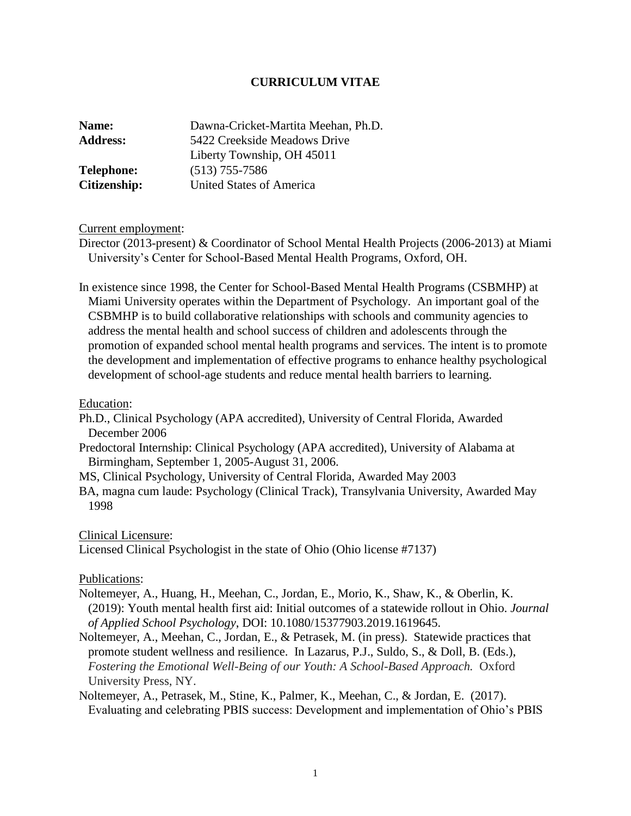# **CURRICULUM VITAE**

| Dawna-Cricket-Martita Meehan, Ph.D. |
|-------------------------------------|
| 5422 Creekside Meadows Drive        |
| Liberty Township, OH 45011          |
| $(513)$ 755-7586                    |
| <b>United States of America</b>     |
|                                     |

## Current employment:

Director (2013-present) & Coordinator of School Mental Health Projects (2006-2013) at Miami University's Center for School-Based Mental Health Programs, Oxford, OH.

In existence since 1998, the Center for School-Based Mental Health Programs (CSBMHP) at Miami University operates within the Department of Psychology. An important goal of the CSBMHP is to build collaborative relationships with schools and community agencies to address the mental health and school success of children and adolescents through the promotion of expanded school mental health programs and services. The intent is to promote the development and implementation of effective programs to enhance healthy psychological development of school-age students and reduce mental health barriers to learning.

## Education:

Ph.D., Clinical Psychology (APA accredited), University of Central Florida, Awarded December 2006

Predoctoral Internship: Clinical Psychology (APA accredited), University of Alabama at Birmingham, September 1, 2005-August 31, 2006.

MS, Clinical Psychology, University of Central Florida, Awarded May 2003

BA, magna cum laude: Psychology (Clinical Track), Transylvania University, Awarded May 1998

### Clinical Licensure:

Licensed Clinical Psychologist in the state of Ohio (Ohio license #7137)

### Publications:

- Noltemeyer, A., Huang, H., Meehan, C., Jordan, E., Morio, K., Shaw, K., & Oberlin, K. (2019): Youth mental health first aid: Initial outcomes of a statewide rollout in Ohio. *Journal of Applied School Psychology*, DOI: 10.1080/15377903.2019.1619645.
- Noltemeyer, A., Meehan, C., Jordan, E., & Petrasek, M. (in press). Statewide practices that promote student wellness and resilience. In Lazarus, P.J., Suldo, S., & Doll, B. (Eds.), *Fostering the Emotional Well-Being of our Youth: A School-Based Approach.* Oxford University Press, NY.

Noltemeyer, A., Petrasek, M., Stine, K., Palmer, K., Meehan, C., & Jordan, E. (2017). Evaluating and celebrating PBIS success: Development and implementation of Ohio's PBIS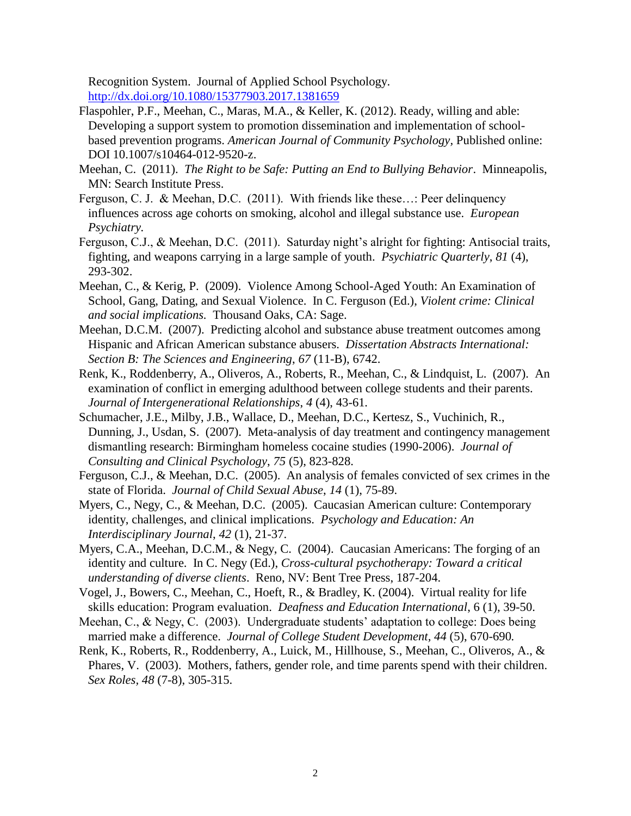Recognition System. Journal of Applied School Psychology. <http://dx.doi.org/10.1080/15377903.2017.1381659>

- Flaspohler, P.F., Meehan, C., Maras, M.A., & Keller, K. (2012). Ready, willing and able: Developing a support system to promotion dissemination and implementation of schoolbased prevention programs. *American Journal of Community Psychology,* Published online: DOI 10.1007/s10464-012-9520-z.
- Meehan, C. (2011). *The Right to be Safe: Putting an End to Bullying Behavior*. Minneapolis, MN: Search Institute Press.
- Ferguson, C. J. & Meehan, D.C. (2011). With friends like these…: Peer delinquency influences across age cohorts on smoking, alcohol and illegal substance use. *European Psychiatry.*
- Ferguson, C.J., & Meehan, D.C. (2011). Saturday night's alright for fighting: Antisocial traits, fighting, and weapons carrying in a large sample of youth. *Psychiatric Quarterly*, *81* (4), 293-302.
- Meehan, C., & Kerig, P. (2009). Violence Among School-Aged Youth: An Examination of School, Gang, Dating, and Sexual Violence. In C. Ferguson (Ed.), *Violent crime: Clinical and social implications.* Thousand Oaks, CA: Sage.
- Meehan, D.C.M. (2007). Predicting alcohol and substance abuse treatment outcomes among Hispanic and African American substance abusers. *Dissertation Abstracts International: Section B: The Sciences and Engineering*, *67* (11-B), 6742.
- Renk, K., Roddenberry, A., Oliveros, A., Roberts, R., Meehan, C., & Lindquist, L. (2007). An examination of conflict in emerging adulthood between college students and their parents. *Journal of Intergenerational Relationships*, *4* (4), 43-61*.*
- Schumacher, J.E., Milby, J.B., Wallace, D., Meehan, D.C., Kertesz, S., Vuchinich, R., Dunning, J., Usdan, S. (2007). Meta-analysis of day treatment and contingency management dismantling research: Birmingham homeless cocaine studies (1990-2006). *Journal of Consulting and Clinical Psychology*, *75* (5), 823-828.
- Ferguson, C.J., & Meehan, D.C. (2005). An analysis of females convicted of sex crimes in the state of Florida. *Journal of Child Sexual Abuse*, *14* (1), 75-89.
- Myers, C., Negy, C., & Meehan, D.C. (2005). Caucasian American culture: Contemporary identity, challenges, and clinical implications. *Psychology and Education: An Interdisciplinary Journal*, *42* (1), 21-37.
- Myers, C.A., Meehan, D.C.M., & Negy, C. (2004). Caucasian Americans: The forging of an identity and culture. In C. Negy (Ed.), *Cross-cultural psychotherapy: Toward a critical understanding of diverse clients*. Reno, NV: Bent Tree Press, 187-204.
- Vogel, J., Bowers, C., Meehan, C., Hoeft, R., & Bradley, K. (2004). Virtual reality for life skills education: Program evaluation. *Deafness and Education International*, 6 (1), 39-50.
- Meehan, C., & Negy, C. (2003). Undergraduate students' adaptation to college: Does being married make a difference. *Journal of College Student Development, 44* (5), 670-690*.*
- Renk, K., Roberts, R., Roddenberry, A., Luick, M., Hillhouse, S., Meehan, C., Oliveros, A., & Phares, V. (2003). Mothers, fathers, gender role, and time parents spend with their children. *Sex Roles, 48* (7-8), 305-315.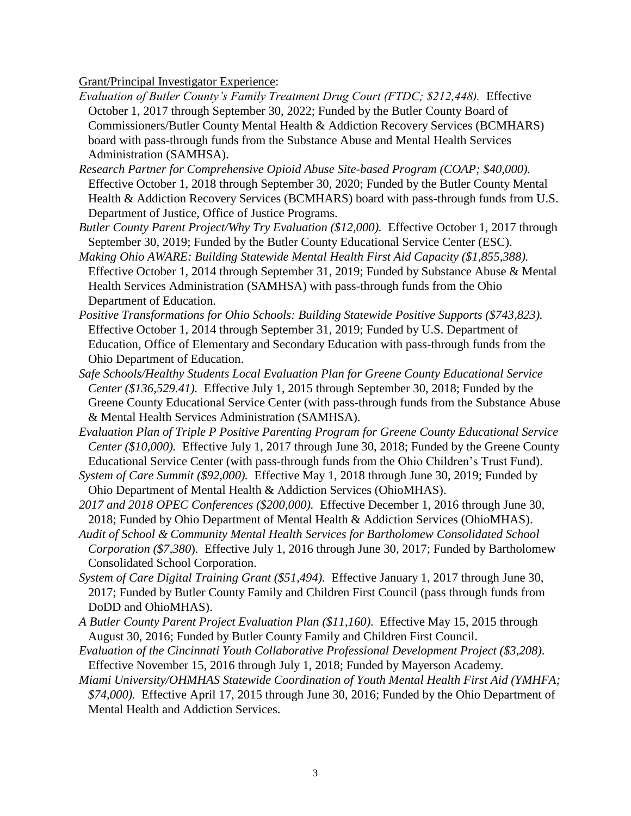Grant/Principal Investigator Experience:

- *Evaluation of Butler County's Family Treatment Drug Court (FTDC; \$212,448).* Effective October 1, 2017 through September 30, 2022; Funded by the Butler County Board of Commissioners/Butler County Mental Health & Addiction Recovery Services (BCMHARS) board with pass-through funds from the Substance Abuse and Mental Health Services Administration (SAMHSA).
- *Research Partner for Comprehensive Opioid Abuse Site-based Program (COAP; \$40,000).*  Effective October 1, 2018 through September 30, 2020; Funded by the Butler County Mental Health & Addiction Recovery Services (BCMHARS) board with pass-through funds from U.S. Department of Justice, Office of Justice Programs.
- *Butler County Parent Project/Why Try Evaluation (\$12,000).* Effective October 1, 2017 through September 30, 2019; Funded by the Butler County Educational Service Center (ESC).
- *Making Ohio AWARE: Building Statewide Mental Health First Aid Capacity (\$1,855,388).*  Effective October 1, 2014 through September 31, 2019; Funded by Substance Abuse & Mental Health Services Administration (SAMHSA) with pass-through funds from the Ohio Department of Education.
- *Positive Transformations for Ohio Schools: Building Statewide Positive Supports (\$743,823).*  Effective October 1, 2014 through September 31, 2019; Funded by U.S. Department of Education, Office of Elementary and Secondary Education with pass-through funds from the Ohio Department of Education.
- *Safe Schools/Healthy Students Local Evaluation Plan for Greene County Educational Service Center (\$136,529.41).* Effective July 1, 2015 through September 30, 2018; Funded by the Greene County Educational Service Center (with pass-through funds from the Substance Abuse & Mental Health Services Administration (SAMHSA).
- *Evaluation Plan of Triple P Positive Parenting Program for Greene County Educational Service Center (\$10,000).* Effective July 1, 2017 through June 30, 2018; Funded by the Greene County Educational Service Center (with pass-through funds from the Ohio Children's Trust Fund).
- *System of Care Summit (\$92,000).* Effective May 1, 2018 through June 30, 2019; Funded by Ohio Department of Mental Health & Addiction Services (OhioMHAS).
- *2017 and 2018 OPEC Conferences (\$200,000).* Effective December 1, 2016 through June 30, 2018; Funded by Ohio Department of Mental Health & Addiction Services (OhioMHAS).
- *Audit of School & Community Mental Health Services for Bartholomew Consolidated School Corporation (\$7,380*). Effective July 1, 2016 through June 30, 2017; Funded by Bartholomew Consolidated School Corporation.
- *System of Care Digital Training Grant (\$51,494).* Effective January 1, 2017 through June 30, 2017; Funded by Butler County Family and Children First Council (pass through funds from DoDD and OhioMHAS).
- *A Butler County Parent Project Evaluation Plan (\$11,160)*. Effective May 15, 2015 through August 30, 2016; Funded by Butler County Family and Children First Council.
- *Evaluation of the Cincinnati Youth Collaborative Professional Development Project (\$3,208)*. Effective November 15, 2016 through July 1, 2018; Funded by Mayerson Academy.
- *Miami University/OHMHAS Statewide Coordination of Youth Mental Health First Aid (YMHFA; \$74,000).* Effective April 17, 2015 through June 30, 2016; Funded by the Ohio Department of Mental Health and Addiction Services.